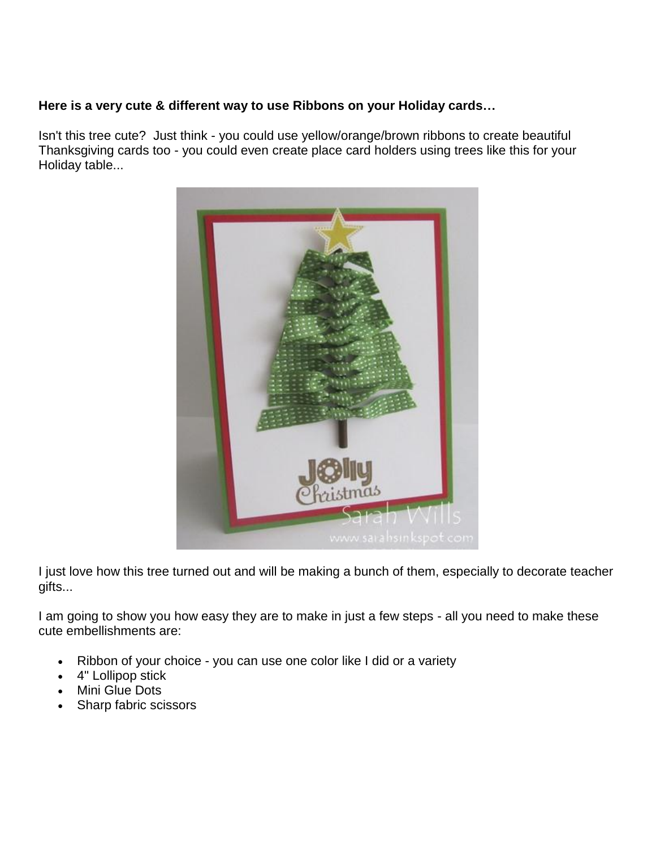## **Here is a very cute & different way to use Ribbons on your Holiday cards…**

Isn't this tree cute? Just think - you could use yellow/orange/brown ribbons to create beautiful Thanksgiving cards too - you could even create place card holders using trees like this for your Holiday table...



I just love how this tree turned out and will be making a bunch of them, especially to decorate teacher gifts...

I am going to show you how easy they are to make in just a few steps - all you need to make these cute embellishments are:

- Ribbon of your choice you can use one color like I did or a variety
- 4" Lollipop stick
- Mini Glue Dots
- Sharp fabric scissors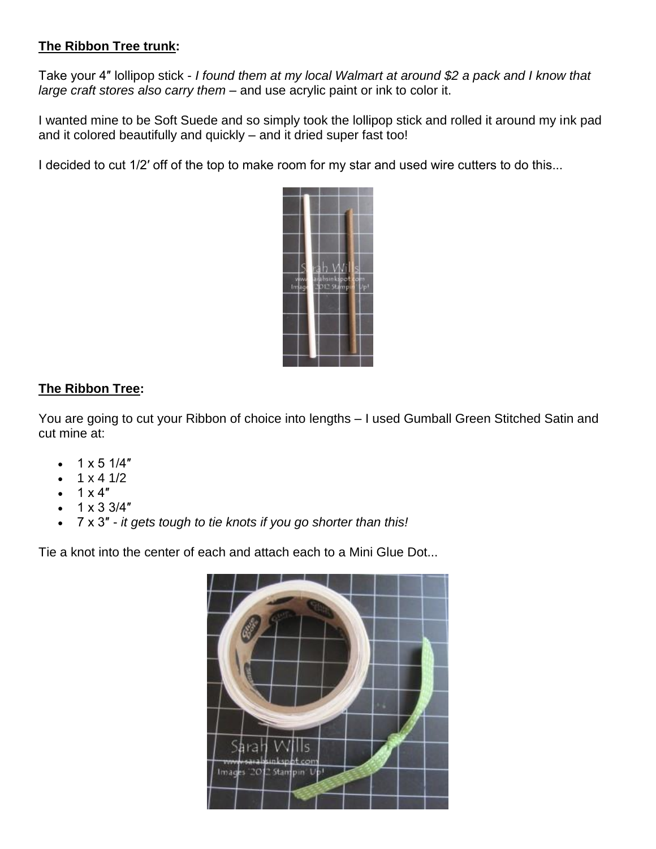## **The Ribbon Tree trunk:**

Take your 4″ lollipop stick - *I found them at my local Walmart at around \$2 a pack and I know that large craft stores also carry them* – and use acrylic paint or ink to color it.

I wanted mine to be Soft Suede and so simply took the lollipop stick and rolled it around my ink pad and it colored beautifully and quickly – and it dried super fast too!

I decided to cut 1/2' off of the top to make room for my star and used wire cutters to do this...



## **The Ribbon Tree:**

You are going to cut your Ribbon of choice into lengths – I used Gumball Green Stitched Satin and cut mine at:

- 1 x 5 1/4″
- $1 \times 4 \frac{1}{2}$
- $1 \times 4$ "
- 1 x 3 3/4″
- 7 x 3″ *it gets tough to tie knots if you go shorter than this!*

Tie a knot into the center of each and attach each to a Mini Glue Dot...

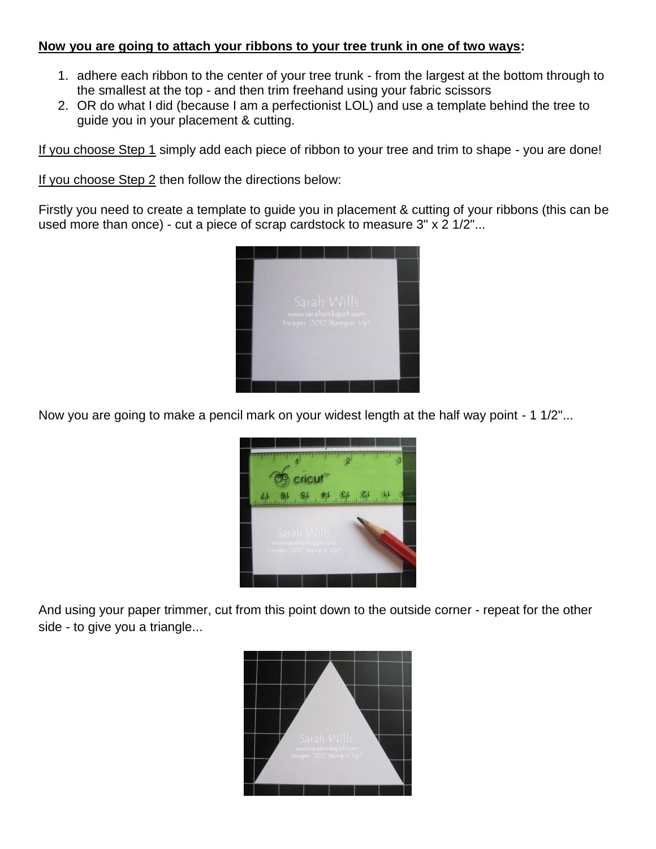## **Now you are going to attach your ribbons to your tree trunk in one of two ways:**

- 1. adhere each ribbon to the center of your tree trunk from the largest at the bottom through to the smallest at the top - and then trim freehand using your fabric scissors
- 2. OR do what I did (because I am a perfectionist LOL) and use a template behind the tree to guide you in your placement & cutting.

If you choose Step 1 simply add each piece of ribbon to your tree and trim to shape - you are done!

If you choose Step 2 then follow the directions below:

Firstly you need to create a template to guide you in placement & cutting of your ribbons (this can be used more than once) - cut a piece of scrap cardstock to measure 3" x 2 1/2"...



Now you are going to make a pencil mark on your widest length at the half way point - 1 1/2"...



And using your paper trimmer, cut from this point down to the outside corner - repeat for the other side - to give you a triangle...

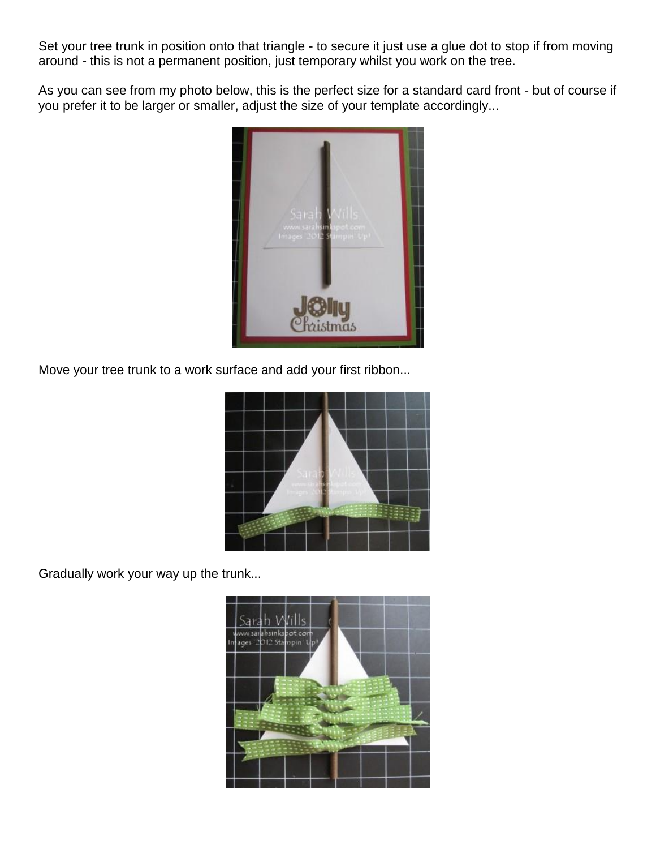Set your tree trunk in position onto that triangle - to secure it just use a glue dot to stop if from moving around - this is not a permanent position, just temporary whilst you work on the tree.

As you can see from my photo below, this is the perfect size for a standard card front - but of course if you prefer it to be larger or smaller, adjust the size of your template accordingly...



Move your tree trunk to a work surface and add your first ribbon...



Gradually work your way up the trunk...